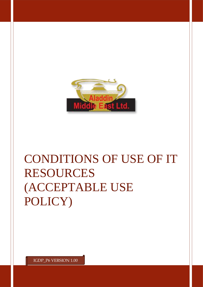

## CONDITIONS OF USE OF IT RESOURCES (ACCEPTABLE USE POLICY)

IGDP\_P6 VERSION 1.00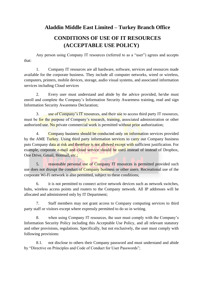## **Aladdin Middle East Limited – Turkey Branch Office**

## **CONDITIONS OF USE OF IT RESOURCES (ACCEPTABLE USE POLICY)**

Any person using Company IT resources (referred to as a "user") agrees and accepts that:

1. Company IT resources are all hardware, software, services and resources made available for the corporate business. They include all computer networks, wired or wireless, computers, printers, mobile devices, storage, audio visual systems, and associated information services including Cloud services

2. Every user must understand and abide by the advice provided, he/she must enroll and complete the Company's Information Security Awareness training, read and sign Information Security Awareness Declaration;

3. use of Company's IT resources, and their use to access third party IT resources, must be for the purpose of Company's research, training, associated administration or other authorized use. No private commercial work is permitted without prior authorization;

4. Company business should be conducted only on information services provided by the AME Turkey. Using third party information services to carry out Company business puts Company data at risk and therefore is not allowed except with sufficient justification. For example, corporate e-mail and cloud service should be used instead of instead of Dropbox, One Drive, Gmail, Hotmail, etc.;

5. reasonable personal use of Company IT resources is permitted provided such use does not disrupt the conduct of Company business or other users. Recreational use of the corporate Wi-Fi network is also permitted, subject to these conditions;

6. it is not permitted to connect active network devices such as network switches, hubs, wireless access points and routers to the Company network. All IP addresses will be allocated and administered only by IT Department;

7. Staff members may not grant access to Company computing services to third party staff or visitors except where expressly permitted to do so in writing.

8. when using Company IT resources, the user must comply with the Company's Information Security Policy including this Acceptable Use Policy, and all relevant statutory and other provisions, regulations. Specifically, but not exclusively, the user must comply with following provisions:

8.1. not disclose to others their Company password and must understand and abide by "Directive on Principles and Code of Conduct for User Passwords";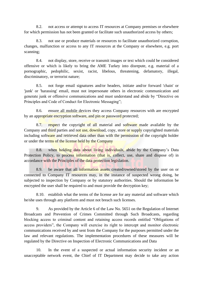8.2. not access or attempt to access IT resources at Company premises or elsewhere for which permission has not been granted or facilitate such unauthorized access by others;

8.3. not use or produce materials or resources to facilitate unauthorized corruption, changes, malfunction or access to any IT resources at the Company or elsewhere, e.g. port scanning;

8.4. not display, store, receive or transmit images or text which could be considered offensive or which is likely to bring the AME Turkey into disrepute, e.g. material of a pornographic, pedophilic, sexist, racist, libelous, threatening, defamatory, illegal, discriminatory, or terrorist nature;

8.5. not forge email signatures and/or headers, initiate and/or forward 'chain' or 'junk' or 'harassing' email, must not impersonate others in electronic communication and generate junk or offensive communications and must understand and abide by "Directive on Principles and Code of Conduct for Electronic Messaging";

8.6. ensure all mobile devices they access Company resources with are encrypted by an appropriate encryption software, and pin or password protected;

8.7. respect the copyright of all material and software made available by the Company and third parties and not use, download, copy, store or supply copyrighted materials including software and retrieved data other than with the permission of the copyright holder or under the terms of the license held by the Company

8.8. when holding data about living individuals, abide by the Company's Data Protection Policy, to process information (that is, collect, use, share and dispose of) in accordance with the Principles of the data protection legislation.

8.9. be aware that all information assets created/owned/stored by the user on or connected to Company IT resources may, in the instance of suspected wrong doing, be subjected to inspection by Company or by statutory authorities. Should the information be encrypted the user shall be required to and must provide the decryption key;

8.10. establish what the terms of the license are for any material and software which he/she uses through any platform and must not breach such licenses.

9. As provided by the Article 6 of the Law No. 5651 on the Regulation of Internet Broadcasts and Prevention of Crimes Committed through Such Broadcasts, regarding blocking access to criminal content and retaining access records entitled "Obligations of access providers", the Company will exercise its right to intercept and monitor electronic communications received by and sent from the Company for the purposes permitted under the law and relevant regulations. The implementation procedures of these measures will be regulated by the Directive on Inspection of Electronic Communications and Data

10. In the event of a suspected or actual information security incident or an unacceptable network event, the Chief of IT Department may decide to take any action